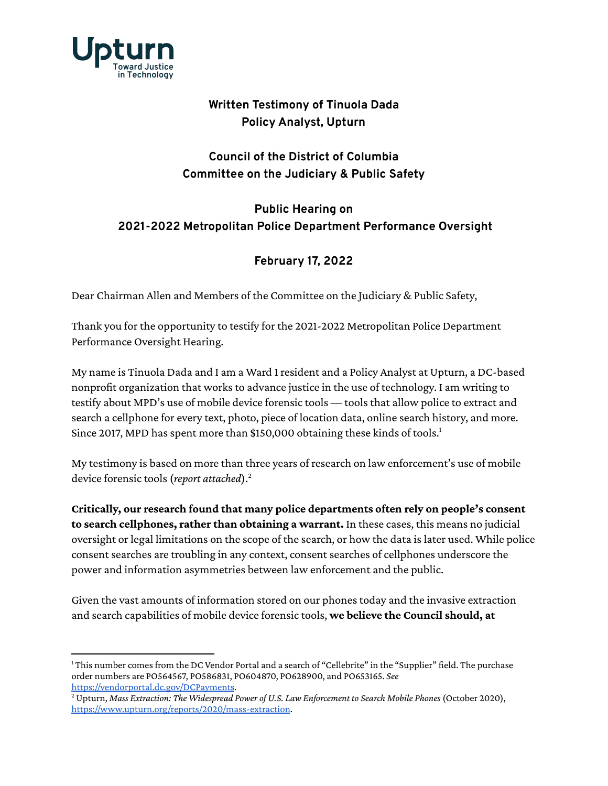

## **Written Testimony of Tinuola Dada Policy Analyst, Upturn**

## **Council of the District of Columbia Committee on the Judiciary & Public Safety**

## **Public Hearing on 2021-2022 Metropolitan Police Department Performance Oversight**

## **February 17, 2022**

Dear Chairman Allen and Members of the Committee on the Judiciary & Public Safety,

Thank you for the opportunity to testify for the 2021-2022 Metropolitan Police Department Performance Oversight Hearing.

My name is Tinuola Dada and I am a Ward 1 resident and a Policy Analyst at Upturn, a DC-based nonprofit organization that works to advance justice in the use of technology. I am writing to testify about MPD's use of mobile device forensic tools — tools that allow police to extract and search a cellphone for every text, photo, piece of location data, online search history, and more. Since 2017, MPD has spent more than \$150,000 obtaining these kinds of tools. 1

My testimony is based on more than three years of research on law enforcement's use of mobile device forensic tools (*report attached*).<sup>2</sup>

**Critically, our research found that many police departments often rely on people's consent to search cellphones, rather than obtaining a warrant.** In these cases, this means no judicial oversight or legal limitations on the scope of the search, or how the data is later used. While police consent searches are troubling in any context, consent searches of cellphones underscore the power and information asymmetries between law enforcement and the public.

Given the vast amounts of information stored on our phones today and the invasive extraction and search capabilities of mobile device forensic tools, **we believe the Council should, at**

<sup>&</sup>lt;sup>1</sup> This number comes from the DC Vendor Portal and a search of "Cellebrite" in the "Supplier" field. The purchase order numbers are PO564567, PO586831, PO604870, PO628900, and PO653165. *See* <https://vendorportal.dc.gov/DCPayments>.

<sup>2</sup> Upturn, *Mass Extraction: The Widespread Power of U.S. Law Enforcement to Search Mobile Phones* (October 2020), <https://www.upturn.org/reports/2020/mass-extraction>.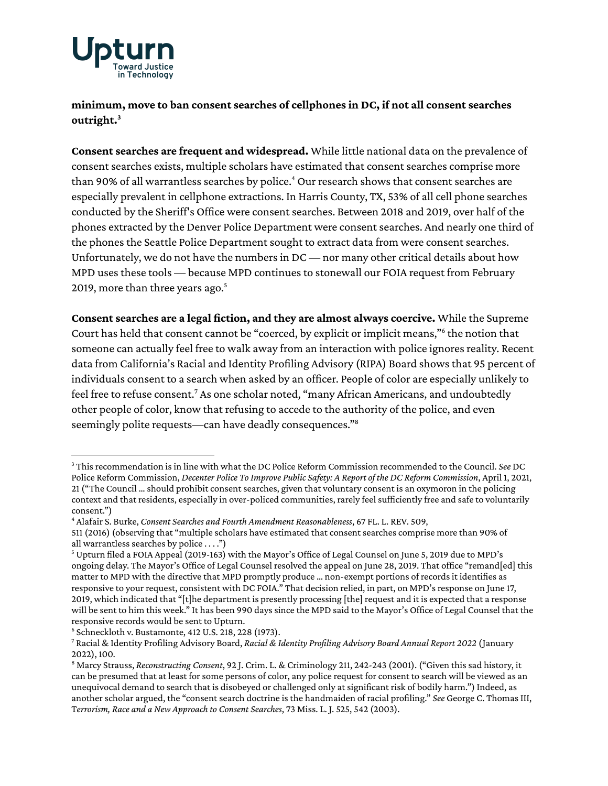

**minimum, move to ban consent searches of cellphones in DC, if not all consent searches outright.<sup>3</sup>**

**Consent searches are frequent and widespread.** While little national data on the prevalence of consent searches exists, multiple scholars have estimated that consent searches comprise more than 90% of all warrantless searches by police. <sup>4</sup> Our research shows that consent searches are especially prevalent in cellphone extractions. In Harris County, TX, 53% of all cell phone searches conducted by the Sheriff's Office were consent searches. Between 2018 and 2019, over half of the phones extracted by the Denver Police Department were consent searches. And nearly one third of the phones the Seattle Police Department sought to extract data from were consent searches. Unfortunately, we do not have the numbers in DC — nor many other critical details about how MPD uses these tools — because MPD continues to stonewall our FOIA request from February 2019, more than three years ago. 5

**Consent searches are a legal fiction, and they are almost always coercive.** While the Supreme Court has held that consent cannot be "coerced, by explicit or implicit means," 6 the notion that someone can actually feel free to walk away from an interaction with police ignores reality. Recent data from California's Racial and Identity Profiling Advisory (RIPA) Board shows that 95 percent of individuals consent to a search when asked by an officer. People of color are especially unlikely to feel free to refuse consent.<sup>7</sup> As one scholar noted, "many African Americans, and undoubtedly other people of color, know that refusing to accede to the authority of the police, and even seemingly polite requests—can have deadly consequences."<sup>8</sup>

<sup>3</sup> Thisrecommendation isin line with what the DC Police Reform Commission recommended to the Council. *See* DC Police Reform Commission, *Decenter Police To Improve Public Safety: A Report of the DC Reform Commission*, April 1, 2021, 21 ("The Council ... should prohibit consent searches, given that voluntary consent is an oxymoron in the policing context and that residents, especially in over-policed communities, rarely feel sufficiently free and safe to voluntarily consent.")

<sup>4</sup> Alafair S. Burke, *Consent Searches and Fourth Amendment Reasonableness*, 67 FL. L. REV. 509,

<sup>511 (2016) (</sup>observing that "multiple scholars have estimated that consent searches comprise more than 90% of all warrantless searches by police  $\dots$ .")

<sup>5</sup> Upturn filed a FOIA Appeal (2019-163) with the Mayor's Office of Legal Counsel on June 5, 2019 due to MPD's ongoing delay. The Mayor's Office of Legal Counsel resolved the appeal on June 28, 2019. That office "remand[ed] this matter to MPD with the directive that MPD promptly produce ... non-exempt portions of records it identifies as responsive to your request, consistent with DC FOIA." That decision relied, in part, on MPD'sresponse on June 17, 2019, which indicated that "[t]he department is presently processing [the] request and it is expected that a response will be sent to him this week." It has been 990 dayssince the MPD said to the Mayor's Office of Legal Counsel that the responsive records would be sent to Upturn.

<sup>6</sup> Schneckloth v. Bustamonte, 412 U.S. 218, 228 (1973).

<sup>7</sup> Racial & Identity Profiling Advisory Board, *Racial & Identity Profiling Advisory Board Annual Report 2022* (January 2022), 100.

<sup>8</sup> Marcy Strauss, *Reconstructing Consent*, 92 J. Crim. L. & Criminology 211, 242-243 (2001). ("Given thissad history, it can be presumed that at least for some persons of color, any police request for consent to search will be viewed as an unequivocal demand to search that is disobeyed or challenged only atsignificant risk of bodily harm.") Indeed, as another scholar argued, the "consent search doctrine is the handmaiden of racial profiling." *See* George C. Thomas III, T*errorism, Race and a New Approach to Consent Searches*, 73 Miss. L. J. 525, 542 (2003).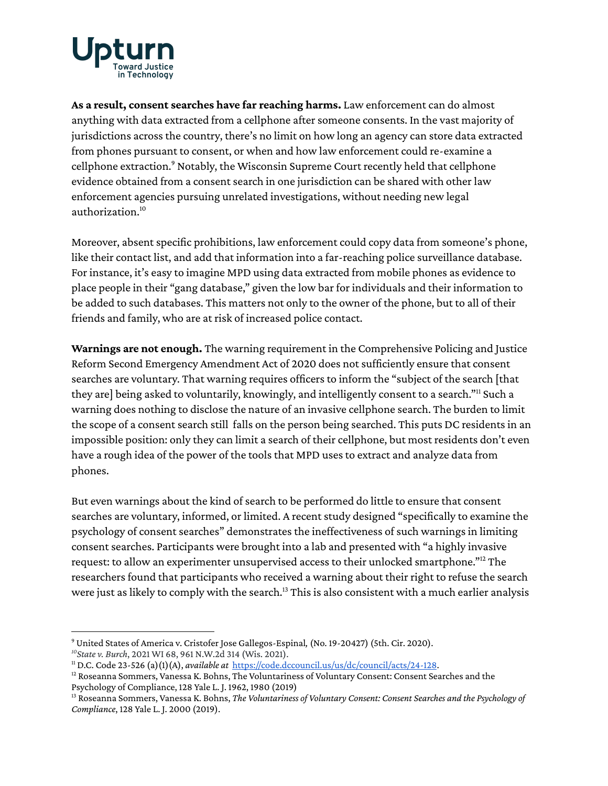

**As a result, consent searches have far reaching harms.** Law enforcement can do almost anything with data extracted from a cellphone after someone consents. In the vast majority of jurisdictions across the country, there's no limit on how long an agency can store data extracted from phones pursuant to consent, or when and how law enforcement could re-examine a cellphone extraction.<sup>9</sup> Notably, the Wisconsin Supreme Court recently held that cellphone evidence obtained from a consent search in one jurisdiction can be shared with other law enforcement agencies pursuing unrelated investigations, without needing new legal authorization.<sup>10</sup>

Moreover, absent specific prohibitions, law enforcement could copy data from someone's phone, like their contact list, and add that information into a far-reaching police surveillance database. For instance, it's easy to imagine MPD using data extracted from mobile phones as evidence to place people in their "gang database," given the low bar for individuals and their information to be added to such databases. This matters not only to the owner of the phone, but to all of their friends and family, who are at risk of increased police contact.

**Warnings are not enough.** The warning requirement in the Comprehensive Policing and Justice Reform Second Emergency Amendment Act of 2020 does not sufficiently ensure that consent searches are voluntary. That warning requires officers to inform the "subject of the search [that they are] being asked to voluntarily, knowingly, and intelligently consent to a search."<sup>11</sup> Such a warning does nothing to disclose the nature of an invasive cellphone search. The burden to limit the scope of a consent search still falls on the person being searched. This puts DC residents in an impossible position: only they can limit a search of their cellphone, but most residents don't even have a rough idea of the power of the tools that MPD uses to extract and analyze data from phones.

But even warnings about the kind of search to be performed do little to ensure that consent searches are voluntary, informed, or limited. A recent study designed "specifically to examine the psychology of consent searches" demonstrates the ineffectiveness of such warnings in limiting consent searches. Participants were brought into a lab and presented with "a highly invasive request: to allow an experimenter unsupervised access to their unlocked smartphone." <sup>12</sup> The researchers found that participants who received a warning about their right to refuse the search were just as likely to comply with the search.<sup>13</sup> This is also consistent with a much earlier analysis

*<sup>10</sup>State v. Burch*, 2021 WI 68, 961 N.W.2d 314 (Wis. 2021).

<sup>9</sup> United States of America v. Cristofer Jose Gallegos-Espinal*,* (No. 19-20427) (5th. Cir. 2020).

<sup>11</sup> D.C. Code 23-526 (a)(1)(A), *available at* <https://code.dccouncil.us/us/dc/council/acts/24-128>.

 $12$  Roseanna Sommers, Vanessa K. Bohns, The Voluntariness of Voluntary Consent: Consent Searches and the Psychology of Compliance, 128 Yale L. J. 1962, 1980 (2019)

<sup>13</sup> Roseanna Sommers, Vanessa K. Bohns, *The Voluntariness of Voluntary Consent: Consent Searches and the Psychology of Compliance*, 128 Yale L. J. 2000 (2019).